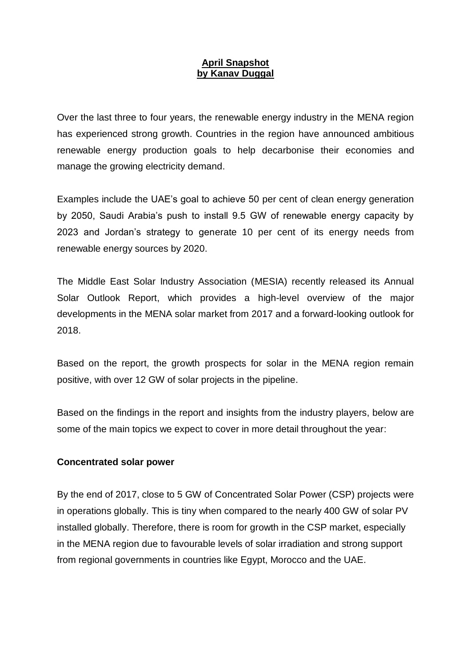## **April Snapshot by Kanav Duggal**

Over the last three to four years, the renewable energy industry in the MENA region has experienced strong growth. Countries in the region have announced ambitious renewable energy production goals to help decarbonise their economies and manage the growing electricity demand.

Examples include the UAE's goal to achieve 50 per cent of clean energy generation by 2050, Saudi Arabia's push to install 9.5 GW of renewable energy capacity by 2023 and Jordan's strategy to generate 10 per cent of its energy needs from renewable energy sources by 2020.

The Middle East Solar Industry Association (MESIA) recently released its Annual Solar Outlook Report, which provides a high-level overview of the major developments in the MENA solar market from 2017 and a forward-looking outlook for 2018.

Based on the report, the growth prospects for solar in the MENA region remain positive, with over 12 GW of solar projects in the pipeline.

Based on the findings in the report and insights from the industry players, below are some of the main topics we expect to cover in more detail throughout the year:

## **Concentrated solar power**

By the end of 2017, close to 5 GW of Concentrated Solar Power (CSP) projects were in operations globally. This is tiny when compared to the nearly 400 GW of solar PV installed globally. Therefore, there is room for growth in the CSP market, especially in the MENA region due to favourable levels of solar irradiation and strong support from regional governments in countries like Egypt, Morocco and the UAE.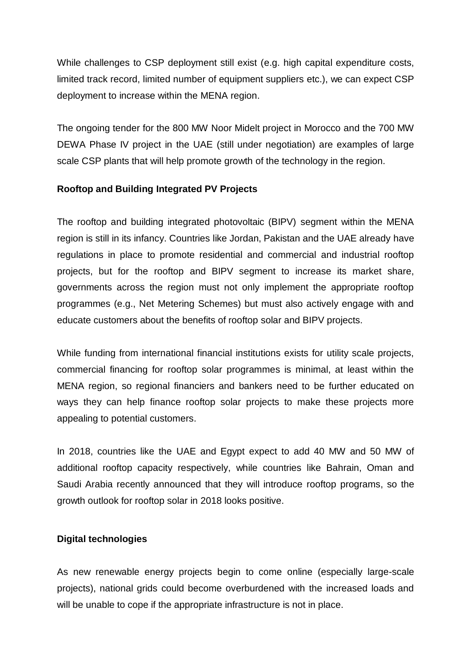While challenges to CSP deployment still exist (e.g. high capital expenditure costs, limited track record, limited number of equipment suppliers etc.), we can expect CSP deployment to increase within the MENA region.

The ongoing tender for the 800 MW Noor Midelt project in Morocco and the 700 MW DEWA Phase IV project in the UAE (still under negotiation) are examples of large scale CSP plants that will help promote growth of the technology in the region.

## **Rooftop and Building Integrated PV Projects**

The rooftop and building integrated photovoltaic (BIPV) segment within the MENA region is still in its infancy. Countries like Jordan, Pakistan and the UAE already have regulations in place to promote residential and commercial and industrial rooftop projects, but for the rooftop and BIPV segment to increase its market share, governments across the region must not only implement the appropriate rooftop programmes (e.g., Net Metering Schemes) but must also actively engage with and educate customers about the benefits of rooftop solar and BIPV projects.

While funding from international financial institutions exists for utility scale projects, commercial financing for rooftop solar programmes is minimal, at least within the MENA region, so regional financiers and bankers need to be further educated on ways they can help finance rooftop solar projects to make these projects more appealing to potential customers.

In 2018, countries like the UAE and Egypt expect to add 40 MW and 50 MW of additional rooftop capacity respectively, while countries like Bahrain, Oman and Saudi Arabia recently announced that they will introduce rooftop programs, so the growth outlook for rooftop solar in 2018 looks positive.

## **Digital technologies**

As new renewable energy projects begin to come online (especially large-scale projects), national grids could become overburdened with the increased loads and will be unable to cope if the appropriate infrastructure is not in place.